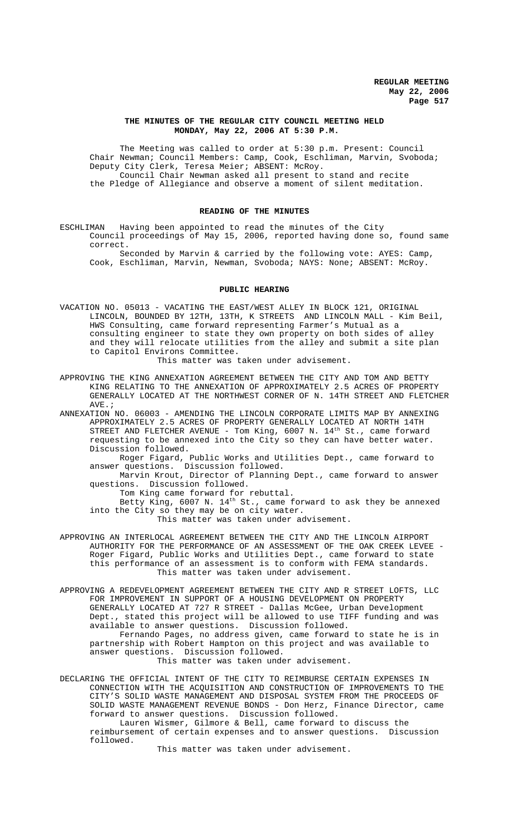## **THE MINUTES OF THE REGULAR CITY COUNCIL MEETING HELD MONDAY, May 22, 2006 AT 5:30 P.M.**

The Meeting was called to order at 5:30 p.m. Present: Council Chair Newman; Council Members: Camp, Cook, Eschliman, Marvin, Svoboda; Deputy City Clerk, Teresa Meier; ABSENT: McRoy. Council Chair Newman asked all present to stand and recite the Pledge of Allegiance and observe a moment of silent meditation.

# **READING OF THE MINUTES**

ESCHLIMAN Having been appointed to read the minutes of the City Council proceedings of May 15, 2006, reported having done so, found same correct.

Seconded by Marvin & carried by the following vote: AYES: Camp, Cook, Eschliman, Marvin, Newman, Svoboda; NAYS: None; ABSENT: McRoy.

#### **PUBLIC HEARING**

VACATION NO. 05013 - VACATING THE EAST/WEST ALLEY IN BLOCK 121, ORIGINAL LINCOLN, BOUNDED BY 12TH, 13TH, K STREETS AND LINCOLN MALL - Kim Beil, HWS Consulting, came forward representing Farmer's Mutual as a consulting engineer to state they own property on both sides of alley and they will relocate utilities from the alley and submit a site plan to Capitol Environs Committee.

This matter was taken under advisement.

APPROVING THE KING ANNEXATION AGREEMENT BETWEEN THE CITY AND TOM AND BETTY KING RELATING TO THE ANNEXATION OF APPROXIMATELY 2.5 ACRES OF PROPERTY GENERALLY LOCATED AT THE NORTHWEST CORNER OF N. 14TH STREET AND FLETCHER  $\texttt{AVE}$  .  $\emph{i}$ 

ANNEXATION NO. 06003 - AMENDING THE LINCOLN CORPORATE LIMITS MAP BY ANNEXING APPROXIMATELY 2.5 ACRES OF PROPERTY GENERALLY LOCATED AT NORTH 14TH STREET AND FLETCHER AVENUE - Tom King, 6007 N. 14<sup>th</sup> St., came forward requesting to be annexed into the City so they can have better water. Discussion followed.

Roger Figard, Public Works and Utilities Dept., came forward to answer questions. Discussion followed.

Marvin Krout, Director of Planning Dept., came forward to answer questions. Discussion followed.

Tom King came forward for rebuttal.

Betty King, 6007 N. 14<sup>th</sup> St., came forward to ask they be annexed into the City so they may be on city water.

This matter was taken under advisement.

APPROVING AN INTERLOCAL AGREEMENT BETWEEN THE CITY AND THE LINCOLN AIRPORT AUTHORITY FOR THE PERFORMANCE OF AN ASSESSMENT OF THE OAK CREEK LEVEE - Roger Figard, Public Works and Utilities Dept., came forward to state this performance of an assessment is to conform with FEMA standards. This matter was taken under advisement.

APPROVING A REDEVELOPMENT AGREEMENT BETWEEN THE CITY AND R STREET LOFTS, LLC FOR IMPROVEMENT IN SUPPORT OF A HOUSING DEVELOPMENT ON PROPERTY GENERALLY LOCATED AT 727 R STREET - Dallas McGee, Urban Development Dept., stated this project will be allowed to use TIFF funding and was available to answer questions. Discussion followed. Fernando Pages, no address given, came forward to state he is in partnership with Robert Hampton on this project and was available to answer questions. Discussion followed.

This matter was taken under advisement.

DECLARING THE OFFICIAL INTENT OF THE CITY TO REIMBURSE CERTAIN EXPENSES IN CONNECTION WITH THE ACQUISITION AND CONSTRUCTION OF IMPROVEMENTS TO THE CITY'S SOLID WASTE MANAGEMENT AND DISPOSAL SYSTEM FROM THE PROCEEDS OF SOLID WASTE MANAGEMENT REVENUE BONDS - Don Herz, Finance Director, came forward to answer questions. Discussion followed.

Lauren Wismer, Gilmore & Bell, came forward to discuss the reimbursement of certain expenses and to answer questions. Discussion followed.

This matter was taken under advisement.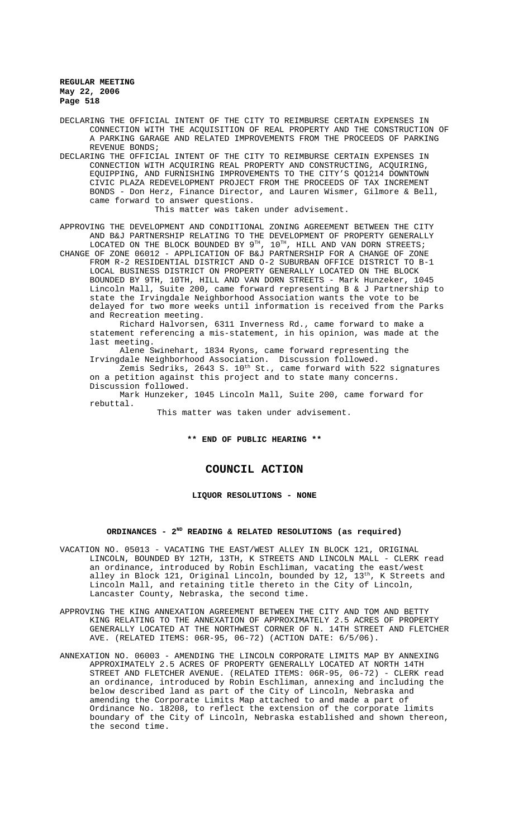DECLARING THE OFFICIAL INTENT OF THE CITY TO REIMBURSE CERTAIN EXPENSES IN CONNECTION WITH THE ACQUISITION OF REAL PROPERTY AND THE CONSTRUCTION OF A PARKING GARAGE AND RELATED IMPROVEMENTS FROM THE PROCEEDS OF PARKING REVENUE BONDS;

DECLARING THE OFFICIAL INTENT OF THE CITY TO REIMBURSE CERTAIN EXPENSES IN CONNECTION WITH ACQUIRING REAL PROPERTY AND CONSTRUCTING, ACQUIRING, EQUIPPING, AND FURNISHING IMPROVEMENTS TO THE CITY'S QO1214 DOWNTOWN CIVIC PLAZA REDEVELOPMENT PROJECT FROM THE PROCEEDS OF TAX INCREMENT BONDS - Don Herz, Finance Director, and Lauren Wismer, Gilmore & Bell, came forward to answer questions.

This matter was taken under advisement.

APPROVING THE DEVELOPMENT AND CONDITIONAL ZONING AGREEMENT BETWEEN THE CITY AND B&J PARTNERSHIP RELATING TO THE DEVELOPMENT OF PROPERTY GENERALLY LOCATED ON THE BLOCK BOUNDED BY  $9^{\text{\tiny{TH}}}$  ,  $10^{\text{\tiny{TH}}}$  , HILL AND VAN DORN STREETS;

CHANGE OF ZONE 06012 - APPLICATION OF B&J PARTNERSHIP FOR A CHANGE OF ZONE FROM R-2 RESIDENTIAL DISTRICT AND O-2 SUBURBAN OFFICE DISTRICT TO B-1 LOCAL BUSINESS DISTRICT ON PROPERTY GENERALLY LOCATED ON THE BLOCK BOUNDED BY 9TH, 10TH, HILL AND VAN DORN STREETS - Mark Hunzeker, 1045 Lincoln Mall, Suite 200, came forward representing B & J Partnership to state the Irvingdale Neighborhood Association wants the vote to be delayed for two more weeks until information is received from the Parks and Recreation meeting.

Richard Halvorsen, 6311 Inverness Rd., came forward to make a statement referencing a mis-statement, in his opinion, was made at the last meeting.

Alene Swinehart, 1834 Ryons, came forward representing the Irvingdale Neighborhood Association. Discussion followed.

Zemis Sedriks, 2643 S.  $10^{th}$  St., came forward with 522 signatures on a petition against this project and to state many concerns. Discussion followed.

Mark Hunzeker, 1045 Lincoln Mall, Suite 200, came forward for rebuttal.

This matter was taken under advisement.

**\*\* END OF PUBLIC HEARING \*\***

# **COUNCIL ACTION**

**LIQUOR RESOLUTIONS - NONE**

#### **ORDINANCES - 2ND READING & RELATED RESOLUTIONS (as required)**

- VACATION NO. 05013 VACATING THE EAST/WEST ALLEY IN BLOCK 121, ORIGINAL LINCOLN, BOUNDED BY 12TH, 13TH, K STREETS AND LINCOLN MALL - CLERK read an ordinance, introduced by Robin Eschliman, vacating the east/west alley in Block 121, Original Lincoln, bounded by  $12$ ,  $13<sup>th</sup>$ , K Streets and Lincoln Mall, and retaining title thereto in the City of Lincoln, Lancaster County, Nebraska, the second time.
- APPROVING THE KING ANNEXATION AGREEMENT BETWEEN THE CITY AND TOM AND BETTY KING RELATING TO THE ANNEXATION OF APPROXIMATELY 2.5 ACRES OF PROPERTY GENERALLY LOCATED AT THE NORTHWEST CORNER OF N. 14TH STREET AND FLETCHER AVE. (RELATED ITEMS: 06R-95, 06-72) (ACTION DATE: 6/5/06).
- ANNEXATION NO. 06003 AMENDING THE LINCOLN CORPORATE LIMITS MAP BY ANNEXING APPROXIMATELY 2.5 ACRES OF PROPERTY GENERALLY LOCATED AT NORTH 14TH STREET AND FLETCHER AVENUE. (RELATED ITEMS: 06R-95, 06-72) - CLERK read an ordinance, introduced by Robin Eschliman, annexing and including the below described land as part of the City of Lincoln, Nebraska and amending the Corporate Limits Map attached to and made a part of Ordinance No. 18208, to reflect the extension of the corporate limits boundary of the City of Lincoln, Nebraska established and shown thereon, the second time.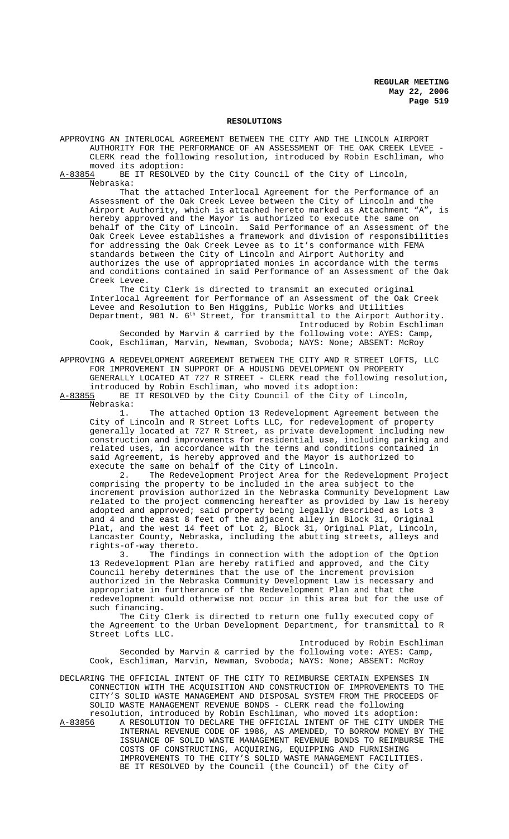#### **RESOLUTIONS**

APPROVING AN INTERLOCAL AGREEMENT BETWEEN THE CITY AND THE LINCOLN AIRPORT AUTHORITY FOR THE PERFORMANCE OF AN ASSESSMENT OF THE OAK CREEK LEVEE - CLERK read the following resolution, introduced by Robin Eschliman, who

moved its adoption:<br>A-83854 BE IT RESOLVE BE IT RESOLVED by the City Council of the City of Lincoln, Nebraska:

That the attached Interlocal Agreement for the Performance of an Assessment of the Oak Creek Levee between the City of Lincoln and the Airport Authority, which is attached hereto marked as Attachment "A", is hereby approved and the Mayor is authorized to execute the same on behalf of the City of Lincoln. Said Performance of an Assessment of the Oak Creek Levee establishes a framework and division of responsibilities for addressing the Oak Creek Levee as to it's conformance with FEMA standards between the City of Lincoln and Airport Authority and authorizes the use of appropriated monies in accordance with the terms and conditions contained in said Performance of an Assessment of the Oak Creek Levee.

The City Clerk is directed to transmit an executed original Interlocal Agreement for Performance of an Assessment of the Oak Creek Levee and Resolution to Ben Higgins, Public Works and Utilities Department, 901 N. 6<sup>th</sup> Street, for transmittal to the Airport Authority. Introduced by Robin Eschliman

Seconded by Marvin & carried by the following vote: AYES: Camp, Cook, Eschliman, Marvin, Newman, Svoboda; NAYS: None; ABSENT: McRoy

APPROVING A REDEVELOPMENT AGREEMENT BETWEEN THE CITY AND R STREET LOFTS, LLC FOR IMPROVEMENT IN SUPPORT OF A HOUSING DEVELOPMENT ON PROPERTY GENERALLY LOCATED AT 727 R STREET - CLERK read the following resolution, introduced by Robin Eschliman, who moved its adoption:<br>A-83855 BE IT RESOLVED by the City Council of the City o

BE IT RESOLVED by the City Council of the City of Lincoln, Nebraska:

1. The attached Option 13 Redevelopment Agreement between the City of Lincoln and R Street Lofts LLC, for redevelopment of property generally located at 727 R Street, as private development including new construction and improvements for residential use, including parking and related uses, in accordance with the terms and conditions contained in said Agreement, is hereby approved and the Mayor is authorized to execute the same on behalf of the City of Lincoln.

2. The Redevelopment Project Area for the Redevelopment Project comprising the property to be included in the area subject to the increment provision authorized in the Nebraska Community Development Law related to the project commencing hereafter as provided by law is hereby adopted and approved; said property being legally described as Lots 3 and 4 and the east 8 feet of the adjacent alley in Block 31, Original Plat, and the west 14 feet of Lot 2, Block 31, Original Plat, Lincoln, Lancaster County, Nebraska, including the abutting streets, alleys and rights-of-way thereto.<br>3. The finding

The findings in connection with the adoption of the Option 13 Redevelopment Plan are hereby ratified and approved, and the City Council hereby determines that the use of the increment provision authorized in the Nebraska Community Development Law is necessary and appropriate in furtherance of the Redevelopment Plan and that the redevelopment would otherwise not occur in this area but for the use of such financing.

The City Clerk is directed to return one fully executed copy of the Agreement to the Urban Development Department, for transmittal to R Street Lofts LLC.

Introduced by Robin Eschliman Seconded by Marvin & carried by the following vote: AYES: Camp, Cook, Eschliman, Marvin, Newman, Svoboda; NAYS: None; ABSENT: McRoy

DECLARING THE OFFICIAL INTENT OF THE CITY TO REIMBURSE CERTAIN EXPENSES IN CONNECTION WITH THE ACQUISITION AND CONSTRUCTION OF IMPROVEMENTS TO THE CITY'S SOLID WASTE MANAGEMENT AND DISPOSAL SYSTEM FROM THE PROCEEDS OF SOLID WASTE MANAGEMENT REVENUE BONDS - CLERK read the following

resolution, introduced by Robin Eschliman, who moved its adoption:<br>A-83856 A RESOLUTION TO DECLARE THE OFFICIAL INTENT OF THE CITY UNDE A-83856 A RESOLUTION TO DECLARE THE OFFICIAL INTENT OF THE CITY UNDER THE INTERNAL REVENUE CODE OF 1986, AS AMENDED, TO BORROW MONEY BY THE ISSUANCE OF SOLID WASTE MANAGEMENT REVENUE BONDS TO REIMBURSE THE COSTS OF CONSTRUCTING, ACQUIRING, EQUIPPING AND FURNISHING IMPROVEMENTS TO THE CITY'S SOLID WASTE MANAGEMENT FACILITIES. BE IT RESOLVED by the Council (the Council) of the City of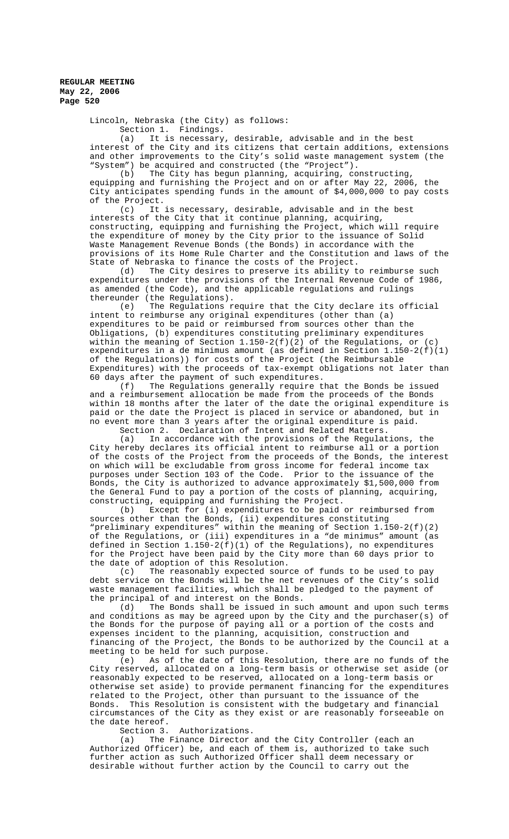> Lincoln, Nebraska (the City) as follows: Section 1. Findings.

(a) It is necessary, desirable, advisable and in the best interest of the City and its citizens that certain additions, extensions and other improvements to the City's solid waste management system (the "System") be acquired and constructed (the "Project").

(b) The City has begun planning, acquiring, constructing, equipping and furnishing the Project and on or after May 22, 2006, the City anticipates spending funds in the amount of \$4,000,000 to pay costs of the Project.

(c) It is necessary, desirable, advisable and in the best interests of the City that it continue planning, acquiring, constructing, equipping and furnishing the Project, which will require the expenditure of money by the City prior to the issuance of Solid Waste Management Revenue Bonds (the Bonds) in accordance with the provisions of its Home Rule Charter and the Constitution and laws of the State of Nebraska to finance the costs of the Project.

(d) The City desires to preserve its ability to reimburse such expenditures under the provisions of the Internal Revenue Code of 1986, as amended (the Code), and the applicable regulations and rulings thereunder (the Regulations).

(e) The Regulations require that the City declare its official intent to reimburse any original expenditures (other than (a) expenditures to be paid or reimbursed from sources other than the Obligations, (b) expenditures constituting preliminary expenditures within the meaning of Section 1.150-2(f)(2) of the Regulations, or (c) expenditures in a de minimus amount (as defined in Section 1.150-2(f)(1) of the Regulations)) for costs of the Project (the Reimbursable Expenditures) with the proceeds of tax-exempt obligations not later than

60 days after the payment of such expenditures.<br>(f) The Requlations generally require t The Regulations generally require that the Bonds be issued and a reimbursement allocation be made from the proceeds of the Bonds within 18 months after the later of the date the original expenditure is paid or the date the Project is placed in service or abandoned, but in no event more than 3 years after the original expenditure is paid.

Section 2. Declaration of Intent and Related Matters.<br>(a) In accordance with the provisions of the Regulat

In accordance with the provisions of the Regulations, the City hereby declares its official intent to reimburse all or a portion of the costs of the Project from the proceeds of the Bonds, the interest on which will be excludable from gross income for federal income tax purposes under Section 103 of the Code. Prior to the issuance of the Bonds, the City is authorized to advance approximately \$1,500,000 from the General Fund to pay a portion of the costs of planning, acquiring, constructing, equipping and furnishing the Project.

(b) Except for (i) expenditures to be paid or reimbursed from sources other than the Bonds, (ii) expenditures constituting "preliminary expenditures" within the meaning of Section 1.150-2(f)(2) of the Regulations, or (iii) expenditures in a "de minimus" amount (as defined in Section  $1.150-2(f)(1)$  of the Regulations), no expenditures for the Project have been paid by the City more than 60 days prior to the date of adoption of this Resolution.

(c) The reasonably expected source of funds to be used to pay debt service on the Bonds will be the net revenues of the City's solid waste management facilities, which shall be pledged to the payment of the principal of and interest on the Bonds.

(d) The Bonds shall be issued in such amount and upon such terms and conditions as may be agreed upon by the City and the purchaser(s) of the Bonds for the purpose of paying all or a portion of the costs and expenses incident to the planning, acquisition, construction and financing of the Project, the Bonds to be authorized by the Council at a

meeting to be held for such purpose.<br>(e) As of the date of this R As of the date of this Resolution, there are no funds of the City reserved, allocated on a long-term basis or otherwise set aside (or reasonably expected to be reserved, allocated on a long-term basis or otherwise set aside) to provide permanent financing for the expenditures related to the Project, other than pursuant to the issuance of the Bonds. This Resolution is consistent with the budgetary and financial circumstances of the City as they exist or are reasonably forseeable on the date hereof.

Section 3. Authorizations.

(a) The Finance Director and the City Controller (each an Authorized Officer) be, and each of them is, authorized to take such further action as such Authorized Officer shall deem necessary or desirable without further action by the Council to carry out the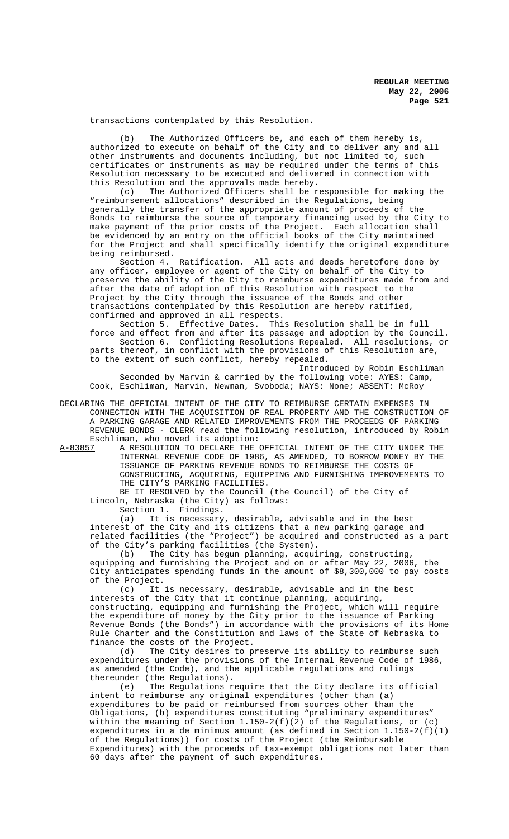transactions contemplated by this Resolution.

(b) The Authorized Officers be, and each of them hereby is, authorized to execute on behalf of the City and to deliver any and all other instruments and documents including, but not limited to, such certificates or instruments as may be required under the terms of this Resolution necessary to be executed and delivered in connection with this Resolution and the approvals made hereby.

(c) The Authorized Officers shall be responsible for making the "reimbursement allocations" described in the Regulations, being generally the transfer of the appropriate amount of proceeds of the Bonds to reimburse the source of temporary financing used by the City to make payment of the prior costs of the Project. Each allocation shall be evidenced by an entry on the official books of the City maintained for the Project and shall specifically identify the original expenditure being reimbursed.

Section 4. Ratification. All acts and deeds heretofore done by any officer, employee or agent of the City on behalf of the City to preserve the ability of the City to reimburse expenditures made from and after the date of adoption of this Resolution with respect to the Project by the City through the issuance of the Bonds and other transactions contemplated by this Resolution are hereby ratified, confirmed and approved in all respects.

Section 5. Effective Dates. This Resolution shall be in full force and effect from and after its passage and adoption by the Council. Section 6. Conflicting Resolutions Repealed. All resolutions, or parts thereof, in conflict with the provisions of this Resolution are, to the extent of such conflict, hereby repealed.

Introduced by Robin Eschliman Seconded by Marvin & carried by the following vote: AYES: Camp, Cook, Eschliman, Marvin, Newman, Svoboda; NAYS: None; ABSENT: McRoy

DECLARING THE OFFICIAL INTENT OF THE CITY TO REIMBURSE CERTAIN EXPENSES IN CONNECTION WITH THE ACQUISITION OF REAL PROPERTY AND THE CONSTRUCTION OF A PARKING GARAGE AND RELATED IMPROVEMENTS FROM THE PROCEEDS OF PARKING REVENUE BONDS - CLERK read the following resolution, introduced by Robin Eschliman, who moved its adoption:<br>A-83857 A RESOLUTION TO DECLARE THE

A-83857 A RESOLUTION TO DECLARE THE OFFICIAL INTENT OF THE CITY UNDER THE INTERNAL REVENUE CODE OF 1986, AS AMENDED, TO BORROW MONEY BY THE ISSUANCE OF PARKING REVENUE BONDS TO REIMBURSE THE COSTS OF CONSTRUCTING, ACQUIRING, EQUIPPING AND FURNISHING IMPROVEMENTS TO THE CITY'S PARKING FACILITIES.

BE IT RESOLVED by the Council (the Council) of the City of Lincoln, Nebraska (the City) as follows:

Section 1. Findings.

(a) It is necessary, desirable, advisable and in the best interest of the City and its citizens that a new parking garage and related facilities (the "Project") be acquired and constructed as a part of the City's parking facilities (the System).

(b) The City has begun planning, acquiring, constructing, equipping and furnishing the Project and on or after May 22, 2006, the City anticipates spending funds in the amount of \$8,300,000 to pay costs of the Project.

(c) It is necessary, desirable, advisable and in the best interests of the City that it continue planning, acquiring, constructing, equipping and furnishing the Project, which will require the expenditure of money by the City prior to the issuance of Parking Revenue Bonds (the Bonds") in accordance with the provisions of its Home Rule Charter and the Constitution and laws of the State of Nebraska to finance the costs of the Project.

(d) The City desires to preserve its ability to reimburse such expenditures under the provisions of the Internal Revenue Code of 1986, as amended (the Code), and the applicable regulations and rulings thereunder (the Regulations).

(e) The Regulations require that the City declare its official intent to reimburse any original expenditures (other than (a) expenditures to be paid or reimbursed from sources other than the Obligations, (b) expenditures constituting "preliminary expenditures" within the meaning of Section  $1.150-2(f)(2)$  of the Regulations, or (c) expenditures in a de minimus amount (as defined in Section 1.150-2(f)(1) of the Regulations)) for costs of the Project (the Reimbursable Expenditures) with the proceeds of tax-exempt obligations not later than 60 days after the payment of such expenditures.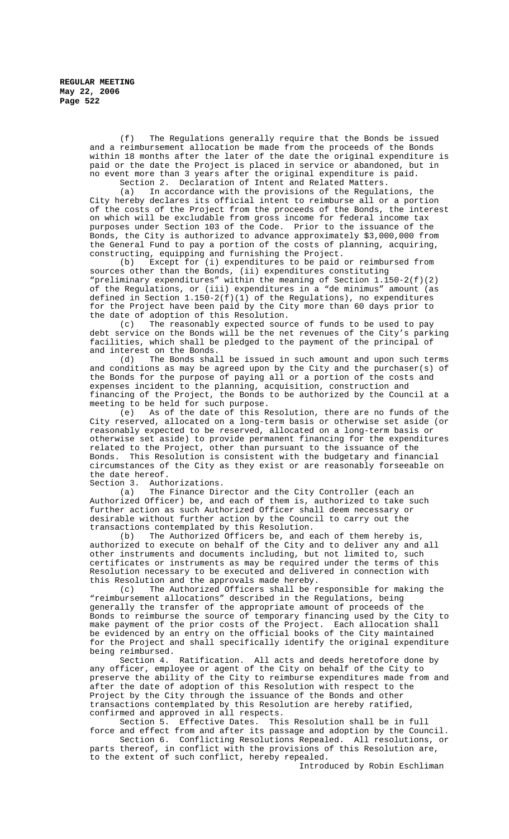(f) The Regulations generally require that the Bonds be issued and a reimbursement allocation be made from the proceeds of the Bonds within 18 months after the later of the date the original expenditure is paid or the date the Project is placed in service or abandoned, but in no event more than 3 years after the original expenditure is paid. Section 2. Declaration of Intent and Related Matters.

(a) In accordance with the provisions of the Regulations, the City hereby declares its official intent to reimburse all or a portion of the costs of the Project from the proceeds of the Bonds, the interest on which will be excludable from gross income for federal income tax purposes under Section 103 of the Code. Prior to the issuance of the Bonds, the City is authorized to advance approximately \$3,000,000 from the General Fund to pay a portion of the costs of planning, acquiring, constructing, equipping and furnishing the Project.

(b) Except for (i) expenditures to be paid or reimbursed from sources other than the Bonds, (ii) expenditures constituting "preliminary expenditures" within the meaning of Section 1.150-2(f)(2) of the Regulations, or (iii) expenditures in a "de minimus" amount (as defined in Section 1.150-2(f)(1) of the Regulations), no expenditures for the Project have been paid by the City more than 60 days prior to

the date of adoption of this Resolution.<br>(c) The reasonably expected sour The reasonably expected source of funds to be used to pay debt service on the Bonds will be the net revenues of the City's parking facilities, which shall be pledged to the payment of the principal of and interest on the Bonds.

(d) The Bonds shall be issued in such amount and upon such terms and conditions as may be agreed upon by the City and the purchaser(s) of the Bonds for the purpose of paying all or a portion of the costs and expenses incident to the planning, acquisition, construction and financing of the Project, the Bonds to be authorized by the Council at a meeting to be held for such purpose.

(e) As of the date of this Resolution, there are no funds of the City reserved, allocated on a long-term basis or otherwise set aside (or reasonably expected to be reserved, allocated on a long-term basis or otherwise set aside) to provide permanent financing for the expenditures related to the Project, other than pursuant to the issuance of the Bonds. This Resolution is consistent with the budgetary and financial circumstances of the City as they exist or are reasonably forseeable on the date hereof.

Section 3. Authorizations.

(a) The Finance Director and the City Controller (each an Authorized Officer) be, and each of them is, authorized to take such further action as such Authorized Officer shall deem necessary or desirable without further action by the Council to carry out the transactions contemplated by this Resolution.

(b) The Authorized Officers be, and each of them hereby is, authorized to execute on behalf of the City and to deliver any and all other instruments and documents including, but not limited to, such certificates or instruments as may be required under the terms of this Resolution necessary to be executed and delivered in connection with this Resolution and the approvals made hereby.

(c) The Authorized Officers shall be responsible for making the "reimbursement allocations" described in the Regulations, being generally the transfer of the appropriate amount of proceeds of the Bonds to reimburse the source of temporary financing used by the City to make payment of the prior costs of the Project. Each allocation shall be evidenced by an entry on the official books of the City maintained for the Project and shall specifically identify the original expenditure being reimbursed.<br>Section 4.

Ratification. All acts and deeds heretofore done by any officer, employee or agent of the City on behalf of the City to preserve the ability of the City to reimburse expenditures made from and after the date of adoption of this Resolution with respect to the Project by the City through the issuance of the Bonds and other transactions contemplated by this Resolution are hereby ratified, confirmed and approved in all respects.

Section 5. Effective Dates. This Resolution shall be in full force and effect from and after its passage and adoption by the Council.

Section 6. Conflicting Resolutions Repealed. All resolutions, or parts thereof, in conflict with the provisions of this Resolution are, to the extent of such conflict, hereby repealed.

Introduced by Robin Eschliman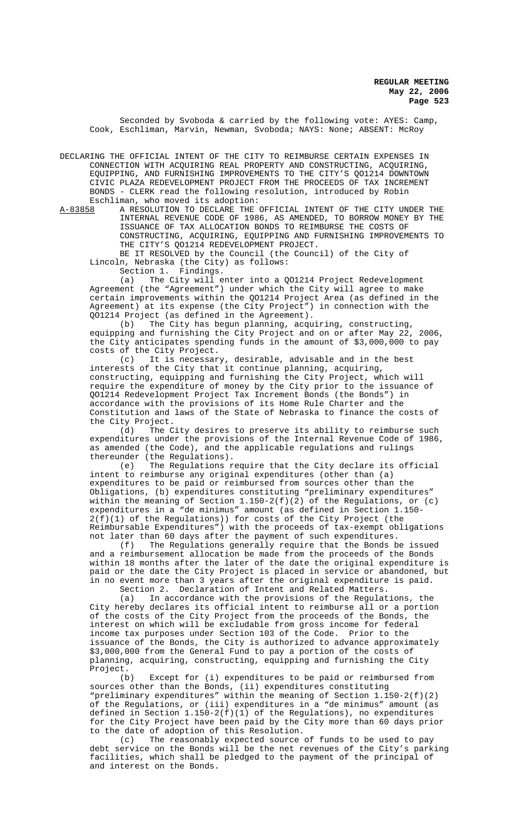Seconded by Svoboda & carried by the following vote: AYES: Camp, Cook, Eschliman, Marvin, Newman, Svoboda; NAYS: None; ABSENT: McRoy

DECLARING THE OFFICIAL INTENT OF THE CITY TO REIMBURSE CERTAIN EXPENSES IN CONNECTION WITH ACQUIRING REAL PROPERTY AND CONSTRUCTING, ACQUIRING, EQUIPPING, AND FURNISHING IMPROVEMENTS TO THE CITY'S QO1214 DOWNTOWN CIVIC PLAZA REDEVELOPMENT PROJECT FROM THE PROCEEDS OF TAX INCREMENT BONDS - CLERK read the following resolution, introduced by Robin

Eschliman, who moved its adoption:<br>A-83858 A RESOLUTION TO DECLARE THE A-83858 A RESOLUTION TO DECLARE THE OFFICIAL INTENT OF THE CITY UNDER THE INTERNAL REVENUE CODE OF 1986, AS AMENDED, TO BORROW MONEY BY THE ISSUANCE OF TAX ALLOCATION BONDS TO REIMBURSE THE COSTS OF CONSTRUCTING, ACQUIRING, EQUIPPING AND FURNISHING IMPROVEMENTS TO THE CITY'S QO1214 REDEVELOPMENT PROJECT.

BE IT RESOLVED by the Council (the Council) of the City of Lincoln, Nebraska (the City) as follows:<br>Section 1. Findings.

Section 1.

(a) The City will enter into a QO1214 Project Redevelopment Agreement (the "Agreement") under which the City will agree to make certain improvements within the QO1214 Project Area (as defined in the Agreement) at its expense (the City Project") in connection with the QO1214 Project (as defined in the Agreement).

(b) The City has begun planning, acquiring, constructing, equipping and furnishing the City Project and on or after May 22, 2006, the City anticipates spending funds in the amount of \$3,000,000 to pay costs of the City Project.

(c) It is necessary, desirable, advisable and in the best interests of the City that it continue planning, acquiring, constructing, equipping and furnishing the City Project, which will require the expenditure of money by the City prior to the issuance of QO1214 Redevelopment Project Tax Increment Bonds (the Bonds") in accordance with the provisions of its Home Rule Charter and the Constitution and laws of the State of Nebraska to finance the costs of the City Project.

(d) The City desires to preserve its ability to reimburse such expenditures under the provisions of the Internal Revenue Code of 1986, as amended (the Code), and the applicable regulations and rulings

thereunder (the Regulations).<br>(e) The Regulations re The Regulations require that the City declare its official intent to reimburse any original expenditures (other than (a) expenditures to be paid or reimbursed from sources other than the Obligations, (b) expenditures constituting "preliminary expenditures" within the meaning of Section  $1.150-2(f)(2)$  of the Regulations, or (c) expenditures in a "de minimus" amount (as defined in Section 1.150- 2(f)(1) of the Regulations)) for costs of the City Project (the Reimbursable Expenditures") with the proceeds of tax-exempt obligations

not later than 60 days after the payment of such expenditures.<br>(f) The Requiations generally require that the Bonds b The Regulations generally require that the Bonds be issued and a reimbursement allocation be made from the proceeds of the Bonds within 18 months after the later of the date the original expenditure is paid or the date the City Project is placed in service or abandoned, but in no event more than 3 years after the original expenditure is paid.

Section 2. Declaration of Intent and Related Matters.<br>(a) In accordance with the provisions of the Requlat In accordance with the provisions of the Regulations, the City hereby declares its official intent to reimburse all or a portion of the costs of the City Project from the proceeds of the Bonds, the interest on which will be excludable from gross income for federal income tax purposes under Section 103 of the Code. Prior to the issuance of the Bonds, the City is authorized to advance approximately \$3,000,000 from the General Fund to pay a portion of the costs of planning, acquiring, constructing, equipping and furnishing the City Project.

(b) Except for (i) expenditures to be paid or reimbursed from sources other than the Bonds, (ii) expenditures constituting "preliminary expenditures" within the meaning of Section 1.150-2(f)(2) of the Regulations, or (iii) expenditures in a "de minimus" amount (as defined in Section 1.150-2(f)(1) of the Regulations), no expenditures for the City Project have been paid by the City more than 60 days prior to the date of adoption of this Resolution.

(c) The reasonably expected source of funds to be used to pay debt service on the Bonds will be the net revenues of the City's parking facilities, which shall be pledged to the payment of the principal of and interest on the Bonds.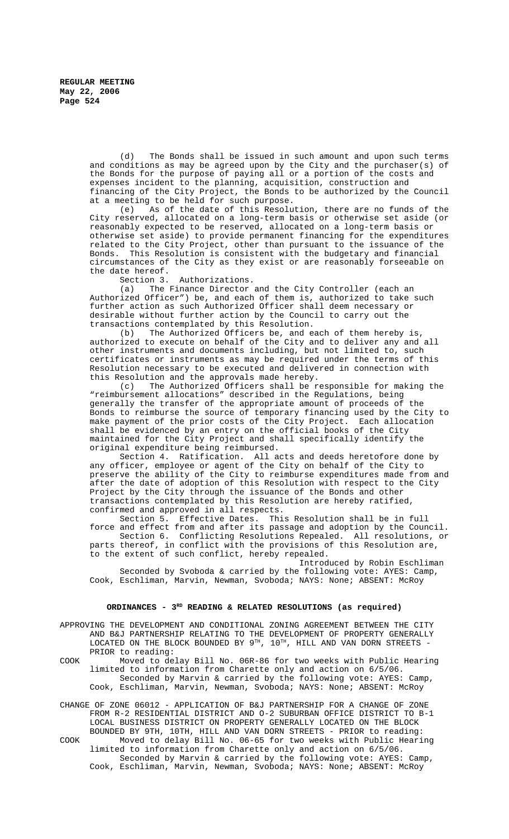(d) The Bonds shall be issued in such amount and upon such terms and conditions as may be agreed upon by the City and the purchaser(s) of the Bonds for the purpose of paying all or a portion of the costs and expenses incident to the planning, acquisition, construction and financing of the City Project, the Bonds to be authorized by the Council at a meeting to be held for such purpose.

(e) As of the date of this Resolution, there are no funds of the City reserved, allocated on a long-term basis or otherwise set aside (or reasonably expected to be reserved, allocated on a long-term basis or otherwise set aside) to provide permanent financing for the expenditures related to the City Project, other than pursuant to the issuance of the Bonds. This Resolution is consistent with the budgetary and financial circumstances of the City as they exist or are reasonably forseeable on the date hereof.<br>Section 3.

Authorizations.

(a) The Finance Director and the City Controller (each an Authorized Officer") be, and each of them is, authorized to take such further action as such Authorized Officer shall deem necessary or desirable without further action by the Council to carry out the transactions contemplated by this Resolution.

(b) The Authorized Officers be, and each of them hereby is, authorized to execute on behalf of the City and to deliver any and all other instruments and documents including, but not limited to, such certificates or instruments as may be required under the terms of this Resolution necessary to be executed and delivered in connection with this Resolution and the approvals made hereby.

(c) The Authorized Officers shall be responsible for making the "reimbursement allocations" described in the Regulations, being generally the transfer of the appropriate amount of proceeds of the Bonds to reimburse the source of temporary financing used by the City to make payment of the prior costs of the City Project. Each allocation shall be evidenced by an entry on the official books of the City maintained for the City Project and shall specifically identify the original expenditure being reimbursed.

Section 4. Ratification. All acts and deeds heretofore done by any officer, employee or agent of the City on behalf of the City to preserve the ability of the City to reimburse expenditures made from and after the date of adoption of this Resolution with respect to the City Project by the City through the issuance of the Bonds and other transactions contemplated by this Resolution are hereby ratified, confirmed and approved in all respects.

Section 5. Effective Dates. This Resolution shall be in full force and effect from and after its passage and adoption by the Council.

Section 6. Conflicting Resolutions Repealed. All resolutions, or parts thereof, in conflict with the provisions of this Resolution are, to the extent of such conflict, hereby repealed.

Introduced by Robin Eschliman Seconded by Svoboda & carried by the following vote: AYES: Camp, Cook, Eschliman, Marvin, Newman, Svoboda; NAYS: None; ABSENT: McRoy

## **ORDINANCES - 3RD READING & RELATED RESOLUTIONS (as required)**

| APPROVING THE DEVELOPMENT AND CONDITIONAL ZONING AGREEMENT BETWEEN THE CITY |  |  |                                                                                    |  |  |  |  |  |  |  |  |  |  |
|-----------------------------------------------------------------------------|--|--|------------------------------------------------------------------------------------|--|--|--|--|--|--|--|--|--|--|
|                                                                             |  |  | AND B&J PARTNERSHIP RELATING TO THE DEVELOPMENT OF PROPERTY GENERALLY              |  |  |  |  |  |  |  |  |  |  |
|                                                                             |  |  | LOCATED ON THE BLOCK BOUNDED BY $9^{TH}$ , $10^{TH}$ , HILL AND VAN DORN STREETS - |  |  |  |  |  |  |  |  |  |  |
| PRIOR to reading:                                                           |  |  |                                                                                    |  |  |  |  |  |  |  |  |  |  |

COOK Moved to delay Bill No. 06R-86 for two weeks with Public Hearing limited to information from Charette only and action on 6/5/06. Seconded by Marvin & carried by the following vote: AYES: Camp, Cook, Eschliman, Marvin, Newman, Svoboda; NAYS: None; ABSENT: McRoy

CHANGE OF ZONE 06012 - APPLICATION OF B&J PARTNERSHIP FOR A CHANGE OF ZONE FROM R-2 RESIDENTIAL DISTRICT AND O-2 SUBURBAN OFFICE DISTRICT TO B-1 LOCAL BUSINESS DISTRICT ON PROPERTY GENERALLY LOCATED ON THE BLOCK BOUNDED BY 9TH, 10TH, HILL AND VAN DORN STREETS - PRIOR to reading: COOK Moved to delay Bill No. 06-65 for two weeks with Public Hearing

limited to information from Charette only and action on 6/5/06. Seconded by Marvin & carried by the following vote: AYES: Camp, Cook, Eschliman, Marvin, Newman, Svoboda; NAYS: None; ABSENT: McRoy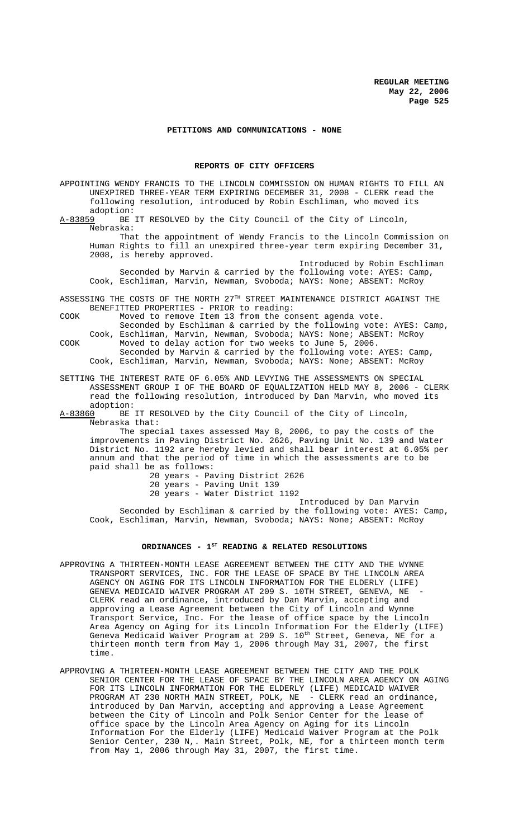## **PETITIONS AND COMMUNICATIONS - NONE**

#### **REPORTS OF CITY OFFICERS**

APPOINTING WENDY FRANCIS TO THE LINCOLN COMMISSION ON HUMAN RIGHTS TO FILL AN UNEXPIRED THREE-YEAR TERM EXPIRING DECEMBER 31, 2008 - CLERK read the following resolution, introduced by Robin Eschliman, who moved its adoption:<br>A-83859 BE

BE IT RESOLVED by the City Council of the City of Lincoln, Nebraska:

That the appointment of Wendy Francis to the Lincoln Commission on Human Rights to fill an unexpired three-year term expiring December 31, 2008, is hereby approved.

Introduced by Robin Eschliman Seconded by Marvin & carried by the following vote: AYES: Camp, Cook, Eschliman, Marvin, Newman, Svoboda; NAYS: None; ABSENT: McRoy

ASSESSING THE COSTS OF THE NORTH  $27^{\text{th}}$  STREET MAINTENANCE DISTRICT AGAINST THE BENEFITTED PROPERTIES - PRIOR to reading:

COOK Moved to remove Item 13 from the consent agenda vote.

Seconded by Eschliman & carried by the following vote: AYES: Camp, Cook, Eschliman, Marvin, Newman, Svoboda; NAYS: None; ABSENT: McRoy COOK Moved to delay action for two weeks to June 5, 2006.

Seconded by Marvin & carried by the following vote: AYES: Camp, Cook, Eschliman, Marvin, Newman, Svoboda; NAYS: None; ABSENT: McRoy

SETTING THE INTEREST RATE OF 6.05% AND LEVYING THE ASSESSMENTS ON SPECIAL ASSESSMENT GROUP I OF THE BOARD OF EQUALIZATION HELD MAY 8, 2006 - CLERK read the following resolution, introduced by Dan Marvin, who moved its adoption:<br>A-83860 BE

BE IT RESOLVED by the City Council of the City of Lincoln, Nebraska that:

The special taxes assessed May 8, 2006, to pay the costs of the improvements in Paving District No. 2626, Paving Unit No. 139 and Water District No. 1192 are hereby levied and shall bear interest at 6.05% per annum and that the period of time in which the assessments are to be paid shall be as follows:

20 years - Paving District 2626 20 years - Paving Unit 139 20 years - Water District 1192

Introduced by Dan Marvin Seconded by Eschliman & carried by the following vote: AYES: Camp, Cook, Eschliman, Marvin, Newman, Svoboda; NAYS: None; ABSENT: McRoy

## ORDINANCES - 1<sup>st</sup> READING & RELATED RESOLUTIONS

- APPROVING A THIRTEEN-MONTH LEASE AGREEMENT BETWEEN THE CITY AND THE WYNNE TRANSPORT SERVICES, INC. FOR THE LEASE OF SPACE BY THE LINCOLN AREA AGENCY ON AGING FOR ITS LINCOLN INFORMATION FOR THE ELDERLY (LIFE) GENEVA MEDICAID WAIVER PROGRAM AT 209 S. 10TH STREET, GENEVA, NE CLERK read an ordinance, introduced by Dan Marvin, accepting and approving a Lease Agreement between the City of Lincoln and Wynne Transport Service, Inc. For the lease of office space by the Lincoln Area Agency on Aging for its Lincoln Information For the Elderly (LIFE) Geneva Medicaid Waiver Program at 209 S. 10<sup>th</sup> Street, Geneva, NE for a thirteen month term from May 1, 2006 through May 31, 2007, the first time.
- APPROVING A THIRTEEN-MONTH LEASE AGREEMENT BETWEEN THE CITY AND THE POLK SENIOR CENTER FOR THE LEASE OF SPACE BY THE LINCOLN AREA AGENCY ON AGING FOR ITS LINCOLN INFORMATION FOR THE ELDERLY (LIFE) MEDICAID WAIVER PROGRAM AT 230 NORTH MAIN STREET, POLK, NE - CLERK read an ordinance, introduced by Dan Marvin, accepting and approving a Lease Agreement between the City of Lincoln and Polk Senior Center for the lease of office space by the Lincoln Area Agency on Aging for its Lincoln Information For the Elderly (LIFE) Medicaid Waiver Program at the Polk Senior Center, 230 N,. Main Street, Polk, NE, for a thirteen month term from May 1, 2006 through May 31, 2007, the first time.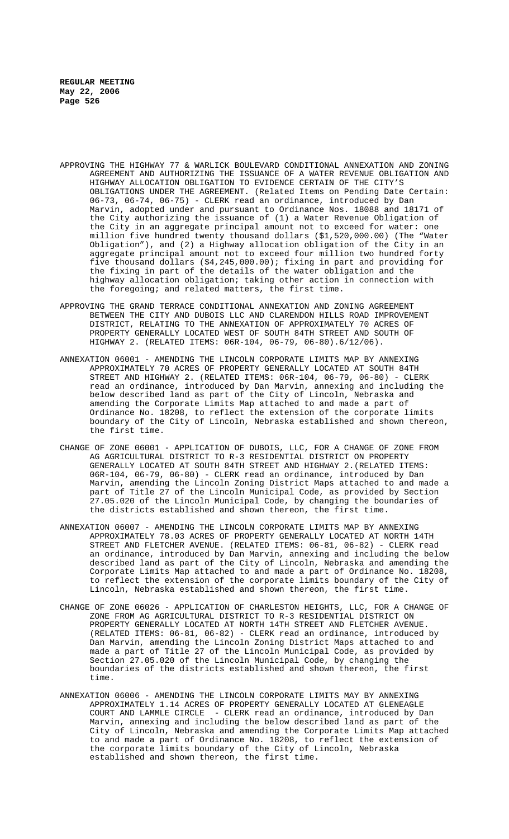- APPROVING THE HIGHWAY 77 & WARLICK BOULEVARD CONDITIONAL ANNEXATION AND ZONING AGREEMENT AND AUTHORIZING THE ISSUANCE OF A WATER REVENUE OBLIGATION AND HIGHWAY ALLOCATION OBLIGATION TO EVIDENCE CERTAIN OF THE CITY'S OBLIGATIONS UNDER THE AGREEMENT. (Related Items on Pending Date Certain: 06-73, 06-74, 06-75) - CLERK read an ordinance, introduced by Dan Marvin, adopted under and pursuant to Ordinance Nos. 18088 and 18171 of the City authorizing the issuance of (1) a Water Revenue Obligation of the City in an aggregate principal amount not to exceed for water: one million five hundred twenty thousand dollars (\$1,520,000.00) (The "Water Obligation"), and (2) a Highway allocation obligation of the City in an aggregate principal amount not to exceed four million two hundred forty five thousand dollars (\$4,245,000.00); fixing in part and providing for the fixing in part of the details of the water obligation and the highway allocation obligation; taking other action in connection with the foregoing; and related matters, the first time.
- APPROVING THE GRAND TERRACE CONDITIONAL ANNEXATION AND ZONING AGREEMENT BETWEEN THE CITY AND DUBOIS LLC AND CLARENDON HILLS ROAD IMPROVEMENT DISTRICT, RELATING TO THE ANNEXATION OF APPROXIMATELY 70 ACRES OF PROPERTY GENERALLY LOCATED WEST OF SOUTH 84TH STREET AND SOUTH OF HIGHWAY 2. (RELATED ITEMS: 06R-104, 06-79, 06-80).6/12/06).
- ANNEXATION 06001 AMENDING THE LINCOLN CORPORATE LIMITS MAP BY ANNEXING APPROXIMATELY 70 ACRES OF PROPERTY GENERALLY LOCATED AT SOUTH 84TH STREET AND HIGHWAY 2. (RELATED ITEMS: 06R-104, 06-79, 06-80) - CLERK read an ordinance, introduced by Dan Marvin, annexing and including the below described land as part of the City of Lincoln, Nebraska and amending the Corporate Limits Map attached to and made a part of Ordinance No. 18208, to reflect the extension of the corporate limits boundary of the City of Lincoln, Nebraska established and shown thereon, the first time.
- CHANGE OF ZONE 06001 APPLICATION OF DUBOIS, LLC, FOR A CHANGE OF ZONE FROM AG AGRICULTURAL DISTRICT TO R-3 RESIDENTIAL DISTRICT ON PROPERTY GENERALLY LOCATED AT SOUTH 84TH STREET AND HIGHWAY 2.(RELATED ITEMS: 06R-104, 06-79, 06-80) - CLERK read an ordinance, introduced by Dan Marvin, amending the Lincoln Zoning District Maps attached to and made a part of Title 27 of the Lincoln Municipal Code, as provided by Section 27.05.020 of the Lincoln Municipal Code, by changing the boundaries of the districts established and shown thereon, the first time.
- ANNEXATION 06007 AMENDING THE LINCOLN CORPORATE LIMITS MAP BY ANNEXING APPROXIMATELY 78.03 ACRES OF PROPERTY GENERALLY LOCATED AT NORTH 14TH STREET AND FLETCHER AVENUE. (RELATED ITEMS: 06-81, 06-82) - CLERK read an ordinance, introduced by Dan Marvin, annexing and including the below described land as part of the City of Lincoln, Nebraska and amending the Corporate Limits Map attached to and made a part of Ordinance No. 18208, to reflect the extension of the corporate limits boundary of the City of Lincoln, Nebraska established and shown thereon, the first time.
- CHANGE OF ZONE 06026 APPLICATION OF CHARLESTON HEIGHTS, LLC, FOR A CHANGE OF ZONE FROM AG AGRICULTURAL DISTRICT TO R-3 RESIDENTIAL DISTRICT ON PROPERTY GENERALLY LOCATED AT NORTH 14TH STREET AND FLETCHER AVENUE. (RELATED ITEMS: 06-81, 06-82) - CLERK read an ordinance, introduced by Dan Marvin, amending the Lincoln Zoning District Maps attached to and made a part of Title 27 of the Lincoln Municipal Code, as provided by Section 27.05.020 of the Lincoln Municipal Code, by changing the boundaries of the districts established and shown thereon, the first time.
- ANNEXATION 06006 AMENDING THE LINCOLN CORPORATE LIMITS MAY BY ANNEXING APPROXIMATELY 1.14 ACRES OF PROPERTY GENERALLY LOCATED AT GLENEAGLE COURT AND LAMMLE CIRCLE - CLERK read an ordinance, introduced by Dan Marvin, annexing and including the below described land as part of the City of Lincoln, Nebraska and amending the Corporate Limits Map attached to and made a part of Ordinance No. 18208, to reflect the extension of the corporate limits boundary of the City of Lincoln, Nebraska established and shown thereon, the first time.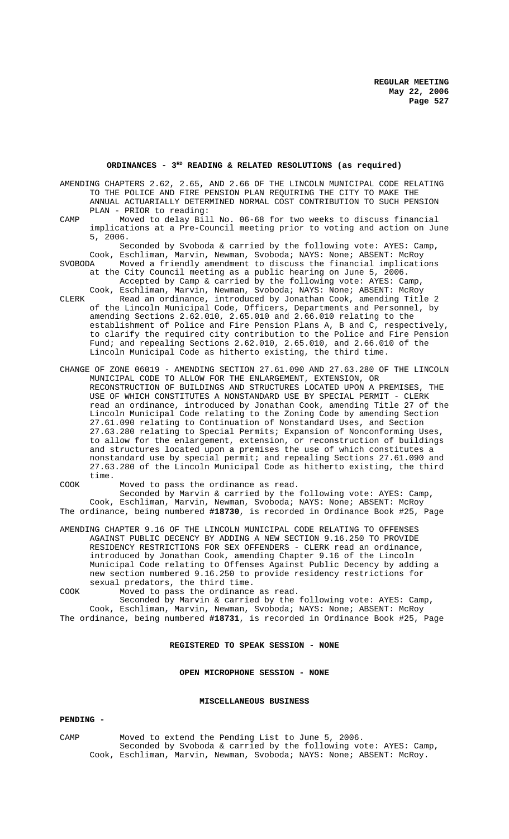## **ORDINANCES - 3RD READING & RELATED RESOLUTIONS (as required)**

AMENDING CHAPTERS 2.62, 2.65, AND 2.66 OF THE LINCOLN MUNICIPAL CODE RELATING TO THE POLICE AND FIRE PENSION PLAN REQUIRING THE CITY TO MAKE THE ANNUAL ACTUARIALLY DETERMINED NORMAL COST CONTRIBUTION TO SUCH PENSION PLAN - PRIOR to reading:

CAMP Moved to delay Bill No. 06-68 for two weeks to discuss financial implications at a Pre-Council meeting prior to voting and action on June 5, 2006.

Seconded by Svoboda & carried by the following vote: AYES: Camp, Cook, Eschliman, Marvin, Newman, Svoboda; NAYS: None; ABSENT: McRoy

Moved a friendly amendment to discuss the financial implications at the City Council meeting as a public hearing on June 5, 2006. Accepted by Camp & carried by the following vote: AYES: Camp Cook, Eschliman, Marvin, Newman, Svoboda; NAYS: None; ABSENT: McRoy

- CLERK Read an ordinance, introduced by Jonathan Cook, amending Title 2 of the Lincoln Municipal Code, Officers, Departments and Personnel, by amending Sections 2.62.010, 2.65.010 and 2.66.010 relating to the establishment of Police and Fire Pension Plans A, B and C, respectively, to clarify the required city contribution to the Police and Fire Pension Fund; and repealing Sections 2.62.010, 2.65.010, and 2.66.010 of the Lincoln Municipal Code as hitherto existing, the third time.
- CHANGE OF ZONE 06019 AMENDING SECTION 27.61.090 AND 27.63.280 OF THE LINCOLN MUNICIPAL CODE TO ALLOW FOR THE ENLARGEMENT, EXTENSION, OR RECONSTRUCTION OF BUILDINGS AND STRUCTURES LOCATED UPON A PREMISES, THE USE OF WHICH CONSTITUTES A NONSTANDARD USE BY SPECIAL PERMIT - CLERK read an ordinance, introduced by Jonathan Cook, amending Title 27 of the Lincoln Municipal Code relating to the Zoning Code by amending Section 27.61.090 relating to Continuation of Nonstandard Uses, and Section 27.63.280 relating to Special Permits; Expansion of Nonconforming Uses, to allow for the enlargement, extension, or reconstruction of buildings and structures located upon a premises the use of which constitutes a nonstandard use by special permit; and repealing Sections 27.61.090 and 27.63.280 of the Lincoln Municipal Code as hitherto existing, the third time.

COOK Moved to pass the ordinance as read. Seconded by Marvin & carried by the following vote: AYES: Camp, Cook, Eschliman, Marvin, Newman, Svoboda; NAYS: None; ABSENT: McRoy The ordinance, being numbered **#18730**, is recorded in Ordinance Book #25, Page

AMENDING CHAPTER 9.16 OF THE LINCOLN MUNICIPAL CODE RELATING TO OFFENSES AGAINST PUBLIC DECENCY BY ADDING A NEW SECTION 9.16.250 TO PROVIDE RESIDENCY RESTRICTIONS FOR SEX OFFENDERS - CLERK read an ordinance, introduced by Jonathan Cook, amending Chapter 9.16 of the Lincoln Municipal Code relating to Offenses Against Public Decency by adding a new section numbered 9.16.250 to provide residency restrictions for sexual predators, the third time.

COOK Moved to pass the ordinance as read.

Seconded by Marvin & carried by the following vote: AYES: Camp, Cook, Eschliman, Marvin, Newman, Svoboda; NAYS: None; ABSENT: McRoy The ordinance, being numbered **#18731**, is recorded in Ordinance Book #25, Page

#### **REGISTERED TO SPEAK SESSION - NONE**

## **OPEN MICROPHONE SESSION - NONE**

#### **MISCELLANEOUS BUSINESS**

#### **PENDING -**

CAMP Moved to extend the Pending List to June 5, 2006. Seconded by Svoboda & carried by the following vote: AYES: Camp, Cook, Eschliman, Marvin, Newman, Svoboda; NAYS: None; ABSENT: McRoy.